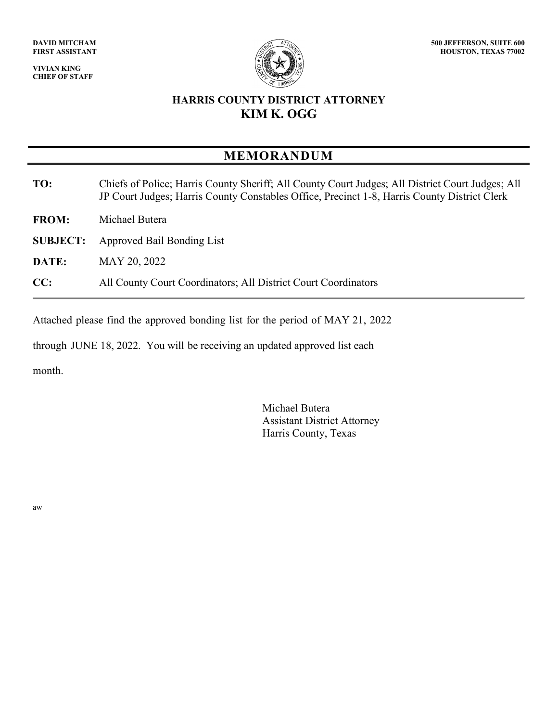**VIVIAN KING CHIEF OF STAFF**



## **HARRIS COUNTY DISTRICT ATTORNEY KIM K. OGG**

## **MEMORANDUM**

- **TO:** Chiefs of Police; Harris County Sheriff; All County Court Judges; All District Court Judges; All JP Court Judges; Harris County Constables Office, Precinct 1-8, Harris County District Clerk
- **FROM:** Michael Butera
- **SUBJECT:** Approved Bail Bonding List
- **DATE:** MAY 20, 2022
- **CC:** All County Court Coordinators; All District Court Coordinators

Attached please find the approved bonding list for the period of MAY 21, 2022

through JUNE 18, 2022. You will be receiving an updated approved list each

month.

Michael Butera Assistant District Attorney Harris County, Texas

aw